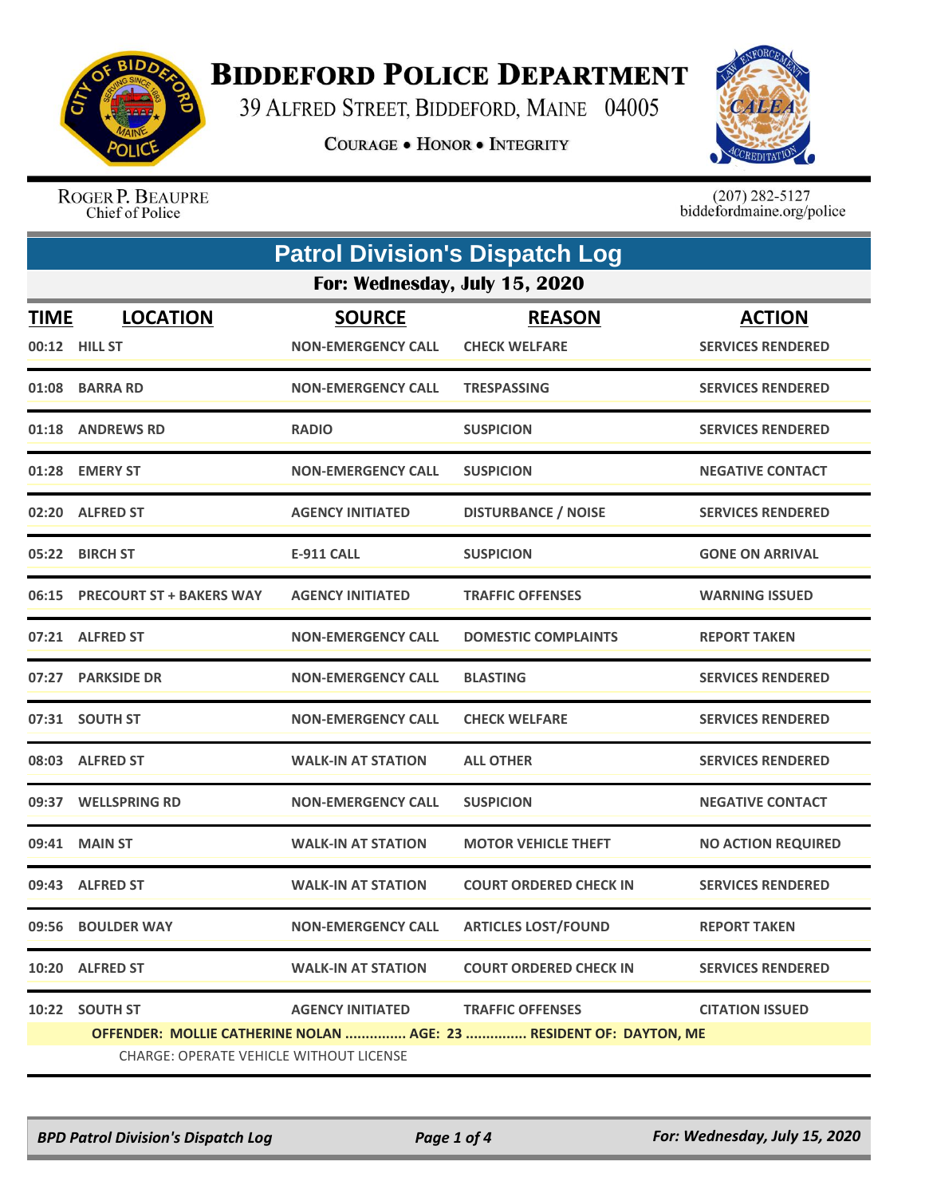

## **BIDDEFORD POLICE DEPARTMENT**

39 ALFRED STREET, BIDDEFORD, MAINE 04005

**COURAGE . HONOR . INTEGRITY** 



ROGER P. BEAUPRE Chief of Police

 $(207)$  282-5127<br>biddefordmaine.org/police

| <b>Patrol Division's Dispatch Log</b> |                                                                    |                           |                               |                           |  |
|---------------------------------------|--------------------------------------------------------------------|---------------------------|-------------------------------|---------------------------|--|
|                                       | For: Wednesday, July 15, 2020                                      |                           |                               |                           |  |
| <u>TIME</u>                           | <b>LOCATION</b>                                                    | <b>SOURCE</b>             | <b>REASON</b>                 | <b>ACTION</b>             |  |
|                                       | 00:12 HILL ST                                                      | <b>NON-EMERGENCY CALL</b> | <b>CHECK WELFARE</b>          | <b>SERVICES RENDERED</b>  |  |
|                                       | 01:08 BARRA RD                                                     | <b>NON-EMERGENCY CALL</b> | <b>TRESPASSING</b>            | <b>SERVICES RENDERED</b>  |  |
|                                       | 01:18 ANDREWS RD                                                   | <b>RADIO</b>              | <b>SUSPICION</b>              | <b>SERVICES RENDERED</b>  |  |
|                                       | 01:28 EMERY ST                                                     | <b>NON-EMERGENCY CALL</b> | <b>SUSPICION</b>              | <b>NEGATIVE CONTACT</b>   |  |
|                                       | 02:20 ALFRED ST                                                    | <b>AGENCY INITIATED</b>   | <b>DISTURBANCE / NOISE</b>    | <b>SERVICES RENDERED</b>  |  |
|                                       | 05:22 BIRCH ST                                                     | <b>E-911 CALL</b>         | <b>SUSPICION</b>              | <b>GONE ON ARRIVAL</b>    |  |
|                                       | 06:15 PRECOURT ST + BAKERS WAY                                     | <b>AGENCY INITIATED</b>   | <b>TRAFFIC OFFENSES</b>       | <b>WARNING ISSUED</b>     |  |
| 07:21                                 | <b>ALFRED ST</b>                                                   | <b>NON-EMERGENCY CALL</b> | <b>DOMESTIC COMPLAINTS</b>    | <b>REPORT TAKEN</b>       |  |
|                                       | 07:27 PARKSIDE DR                                                  | <b>NON-EMERGENCY CALL</b> | <b>BLASTING</b>               | <b>SERVICES RENDERED</b>  |  |
|                                       | 07:31 SOUTH ST                                                     | <b>NON-EMERGENCY CALL</b> | <b>CHECK WELFARE</b>          | <b>SERVICES RENDERED</b>  |  |
|                                       | 08:03 ALFRED ST                                                    | <b>WALK-IN AT STATION</b> | <b>ALL OTHER</b>              | <b>SERVICES RENDERED</b>  |  |
|                                       | 09:37 WELLSPRING RD                                                | <b>NON-EMERGENCY CALL</b> | <b>SUSPICION</b>              | <b>NEGATIVE CONTACT</b>   |  |
| 09:41                                 | <b>MAIN ST</b>                                                     | <b>WALK-IN AT STATION</b> | <b>MOTOR VEHICLE THEFT</b>    | <b>NO ACTION REQUIRED</b> |  |
|                                       | 09:43 ALFRED ST                                                    | <b>WALK-IN AT STATION</b> | <b>COURT ORDERED CHECK IN</b> | <b>SERVICES RENDERED</b>  |  |
| 09:56                                 | <b>BOULDER WAY</b>                                                 | <b>NON-EMERGENCY CALL</b> | <b>ARTICLES LOST/FOUND</b>    | <b>REPORT TAKEN</b>       |  |
|                                       | 10:20 ALFRED ST                                                    | <b>WALK-IN AT STATION</b> | <b>COURT ORDERED CHECK IN</b> | <b>SERVICES RENDERED</b>  |  |
|                                       | 10:22 SOUTH ST                                                     | <b>AGENCY INITIATED</b>   | <b>TRAFFIC OFFENSES</b>       | <b>CITATION ISSUED</b>    |  |
|                                       | OFFENDER: MOLLIE CATHERINE NOLAN  AGE: 23  RESIDENT OF: DAYTON, ME |                           |                               |                           |  |
|                                       | <b>CHARGE: OPERATE VEHICLE WITHOUT LICENSE</b>                     |                           |                               |                           |  |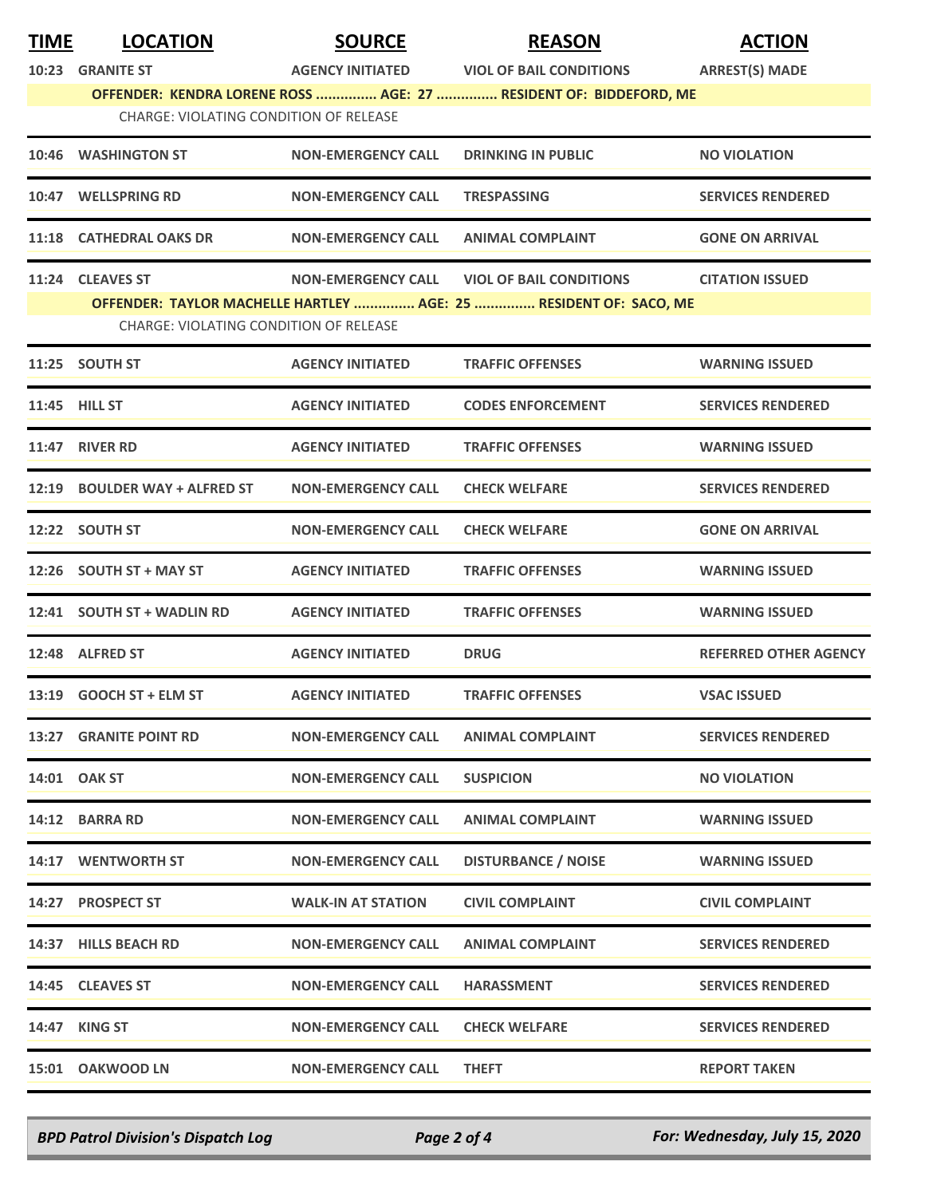| <b>TIME</b> | <b>LOCATION</b>                                                                                             | <b>SOURCE</b>             | <b>REASON</b>                  | <b>ACTION</b>                |  |  |
|-------------|-------------------------------------------------------------------------------------------------------------|---------------------------|--------------------------------|------------------------------|--|--|
|             | 10:23 GRANITE ST                                                                                            | <b>AGENCY INITIATED</b>   | <b>VIOL OF BAIL CONDITIONS</b> | <b>ARREST(S) MADE</b>        |  |  |
|             | OFFENDER: KENDRA LORENE ROSS  AGE: 27  RESIDENT OF: BIDDEFORD, ME<br>CHARGE: VIOLATING CONDITION OF RELEASE |                           |                                |                              |  |  |
| 10:46       | <b>WASHINGTON ST</b>                                                                                        | <b>NON-EMERGENCY CALL</b> | <b>DRINKING IN PUBLIC</b>      | <b>NO VIOLATION</b>          |  |  |
|             | 10:47 WELLSPRING RD                                                                                         | <b>NON-EMERGENCY CALL</b> | <b>TRESPASSING</b>             | <b>SERVICES RENDERED</b>     |  |  |
|             | 11:18 CATHEDRAL OAKS DR                                                                                     | <b>NON-EMERGENCY CALL</b> | <b>ANIMAL COMPLAINT</b>        | <b>GONE ON ARRIVAL</b>       |  |  |
|             | 11:24 CLEAVES ST                                                                                            | <b>NON-EMERGENCY CALL</b> | <b>VIOL OF BAIL CONDITIONS</b> | <b>CITATION ISSUED</b>       |  |  |
|             | OFFENDER: TAYLOR MACHELLE HARTLEY  AGE: 25  RESIDENT OF: SACO, ME<br>CHARGE: VIOLATING CONDITION OF RELEASE |                           |                                |                              |  |  |
|             | 11:25 SOUTH ST                                                                                              | <b>AGENCY INITIATED</b>   | <b>TRAFFIC OFFENSES</b>        | <b>WARNING ISSUED</b>        |  |  |
|             | 11:45 HILL ST                                                                                               | <b>AGENCY INITIATED</b>   | <b>CODES ENFORCEMENT</b>       | <b>SERVICES RENDERED</b>     |  |  |
|             | <b>11:47 RIVER RD</b>                                                                                       | <b>AGENCY INITIATED</b>   | <b>TRAFFIC OFFENSES</b>        | <b>WARNING ISSUED</b>        |  |  |
|             | 12:19 BOULDER WAY + ALFRED ST                                                                               | <b>NON-EMERGENCY CALL</b> | <b>CHECK WELFARE</b>           | <b>SERVICES RENDERED</b>     |  |  |
|             | 12:22 SOUTH ST                                                                                              | <b>NON-EMERGENCY CALL</b> | <b>CHECK WELFARE</b>           | <b>GONE ON ARRIVAL</b>       |  |  |
|             | 12:26 SOUTH ST + MAY ST                                                                                     | <b>AGENCY INITIATED</b>   | <b>TRAFFIC OFFENSES</b>        | <b>WARNING ISSUED</b>        |  |  |
|             | 12:41 SOUTH ST + WADLIN RD                                                                                  | <b>AGENCY INITIATED</b>   | <b>TRAFFIC OFFENSES</b>        | <b>WARNING ISSUED</b>        |  |  |
|             | 12:48 ALFRED ST                                                                                             | <b>AGENCY INITIATED</b>   | <b>DRUG</b>                    | <b>REFERRED OTHER AGENCY</b> |  |  |
|             | 13:19 GOOCH ST + ELM ST                                                                                     | <b>AGENCY INITIATED</b>   | <b>TRAFFIC OFFENSES</b>        | <b>VSAC ISSUED</b>           |  |  |
|             | 13:27 GRANITE POINT RD                                                                                      | <b>NON-EMERGENCY CALL</b> | <b>ANIMAL COMPLAINT</b>        | <b>SERVICES RENDERED</b>     |  |  |
|             | 14:01 OAK ST                                                                                                | <b>NON-EMERGENCY CALL</b> | <b>SUSPICION</b>               | <b>NO VIOLATION</b>          |  |  |
|             | 14:12 BARRA RD                                                                                              | <b>NON-EMERGENCY CALL</b> | <b>ANIMAL COMPLAINT</b>        | <b>WARNING ISSUED</b>        |  |  |
|             | 14:17 WENTWORTH ST                                                                                          | <b>NON-EMERGENCY CALL</b> | <b>DISTURBANCE / NOISE</b>     | <b>WARNING ISSUED</b>        |  |  |
|             | 14:27 PROSPECT ST                                                                                           | <b>WALK-IN AT STATION</b> | <b>CIVIL COMPLAINT</b>         | <b>CIVIL COMPLAINT</b>       |  |  |
|             | 14:37 HILLS BEACH RD                                                                                        | <b>NON-EMERGENCY CALL</b> | <b>ANIMAL COMPLAINT</b>        | <b>SERVICES RENDERED</b>     |  |  |
|             | 14:45 CLEAVES ST                                                                                            | <b>NON-EMERGENCY CALL</b> | <b>HARASSMENT</b>              | <b>SERVICES RENDERED</b>     |  |  |
|             | <b>14:47 KING ST</b>                                                                                        | <b>NON-EMERGENCY CALL</b> | <b>CHECK WELFARE</b>           | <b>SERVICES RENDERED</b>     |  |  |
|             | 15:01 OAKWOOD LN                                                                                            | <b>NON-EMERGENCY CALL</b> | <b>THEFT</b>                   | <b>REPORT TAKEN</b>          |  |  |

*BPD Patrol Division's Dispatch Log Page 2 of 4 For: Wednesday, July 15, 2020*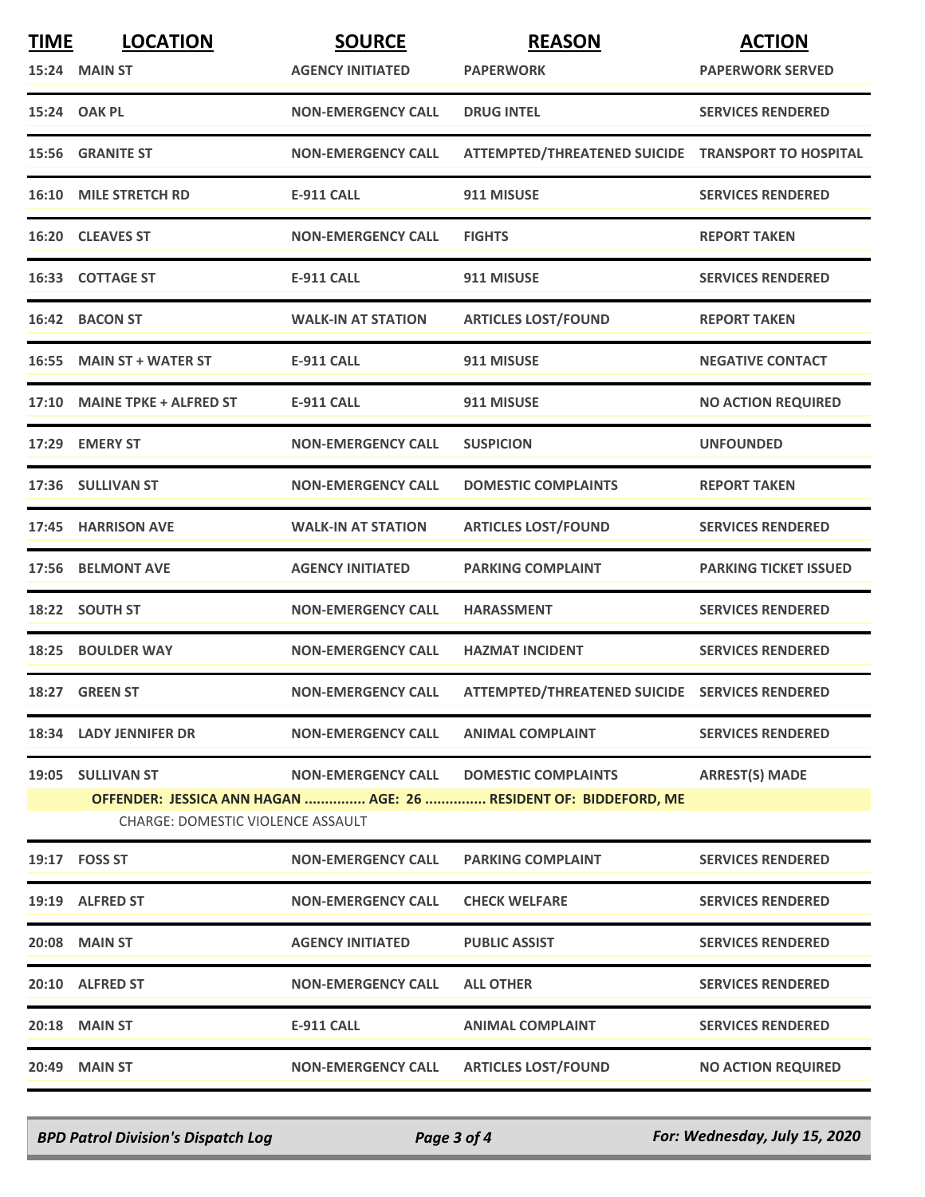| <b>TIME</b> | <b>LOCATION</b>                          | <b>SOURCE</b>             | <b>REASON</b>                                                    | <b>ACTION</b>                |
|-------------|------------------------------------------|---------------------------|------------------------------------------------------------------|------------------------------|
|             | 15:24 MAIN ST                            | <b>AGENCY INITIATED</b>   | <b>PAPERWORK</b>                                                 | <b>PAPERWORK SERVED</b>      |
|             | 15:24 OAK PL                             | <b>NON-EMERGENCY CALL</b> | <b>DRUG INTEL</b>                                                | <b>SERVICES RENDERED</b>     |
|             | 15:56 GRANITE ST                         | <b>NON-EMERGENCY CALL</b> | ATTEMPTED/THREATENED SUICIDE TRANSPORT TO HOSPITAL               |                              |
|             | <b>16:10 MILE STRETCH RD</b>             | <b>E-911 CALL</b>         | 911 MISUSE                                                       | <b>SERVICES RENDERED</b>     |
|             | 16:20 CLEAVES ST                         | <b>NON-EMERGENCY CALL</b> | <b>FIGHTS</b>                                                    | <b>REPORT TAKEN</b>          |
|             | 16:33 COTTAGE ST                         | <b>E-911 CALL</b>         | 911 MISUSE                                                       | <b>SERVICES RENDERED</b>     |
|             | 16:42 BACON ST                           | <b>WALK-IN AT STATION</b> | <b>ARTICLES LOST/FOUND</b>                                       | <b>REPORT TAKEN</b>          |
|             | 16:55 MAIN ST + WATER ST                 | <b>E-911 CALL</b>         | 911 MISUSE                                                       | <b>NEGATIVE CONTACT</b>      |
|             | 17:10 MAINE TPKE + ALFRED ST             | <b>E-911 CALL</b>         | 911 MISUSE                                                       | <b>NO ACTION REQUIRED</b>    |
|             | 17:29 EMERY ST                           | <b>NON-EMERGENCY CALL</b> | <b>SUSPICION</b>                                                 | <b>UNFOUNDED</b>             |
|             | 17:36 SULLIVAN ST                        | <b>NON-EMERGENCY CALL</b> | <b>DOMESTIC COMPLAINTS</b>                                       | <b>REPORT TAKEN</b>          |
|             | 17:45 HARRISON AVE                       | <b>WALK-IN AT STATION</b> | <b>ARTICLES LOST/FOUND</b>                                       | <b>SERVICES RENDERED</b>     |
|             | 17:56 BELMONT AVE                        | <b>AGENCY INITIATED</b>   | <b>PARKING COMPLAINT</b>                                         | <b>PARKING TICKET ISSUED</b> |
|             | 18:22 SOUTH ST                           | <b>NON-EMERGENCY CALL</b> | <b>HARASSMENT</b>                                                | <b>SERVICES RENDERED</b>     |
|             | <b>18:25 BOULDER WAY</b>                 | <b>NON-EMERGENCY CALL</b> | <b>HAZMAT INCIDENT</b>                                           | <b>SERVICES RENDERED</b>     |
|             | 18:27 GREEN ST                           | <b>NON-EMERGENCY CALL</b> | ATTEMPTED/THREATENED SUICIDE SERVICES RENDERED                   |                              |
|             | 18:34 LADY JENNIFER DR                   | <b>NON-EMERGENCY CALL</b> | <b>ANIMAL COMPLAINT</b>                                          | <b>SERVICES RENDERED</b>     |
|             | 19:05 SULLIVAN ST                        | <b>NON-EMERGENCY CALL</b> | <b>DOMESTIC COMPLAINTS</b>                                       | <b>ARREST(S) MADE</b>        |
|             | <b>CHARGE: DOMESTIC VIOLENCE ASSAULT</b> |                           | OFFENDER: JESSICA ANN HAGAN  AGE: 26  RESIDENT OF: BIDDEFORD, ME |                              |
|             | 19:17    FOSS ST                         | <b>NON-EMERGENCY CALL</b> | <b>PARKING COMPLAINT</b>                                         | <b>SERVICES RENDERED</b>     |
|             | 19:19 ALFRED ST                          | <b>NON-EMERGENCY CALL</b> | <b>CHECK WELFARE</b>                                             | <b>SERVICES RENDERED</b>     |
| 20:08       | <b>MAIN ST</b>                           | <b>AGENCY INITIATED</b>   | <b>PUBLIC ASSIST</b>                                             | <b>SERVICES RENDERED</b>     |
|             | 20:10 ALFRED ST                          | <b>NON-EMERGENCY CALL</b> | <b>ALL OTHER</b>                                                 | <b>SERVICES RENDERED</b>     |
| 20:18       | <b>MAIN ST</b>                           | <b>E-911 CALL</b>         | <b>ANIMAL COMPLAINT</b>                                          | <b>SERVICES RENDERED</b>     |
| 20:49       | <b>MAIN ST</b>                           | <b>NON-EMERGENCY CALL</b> | <b>ARTICLES LOST/FOUND</b>                                       | <b>NO ACTION REQUIRED</b>    |

*BPD Patrol Division's Dispatch Log Page 3 of 4 For: Wednesday, July 15, 2020*